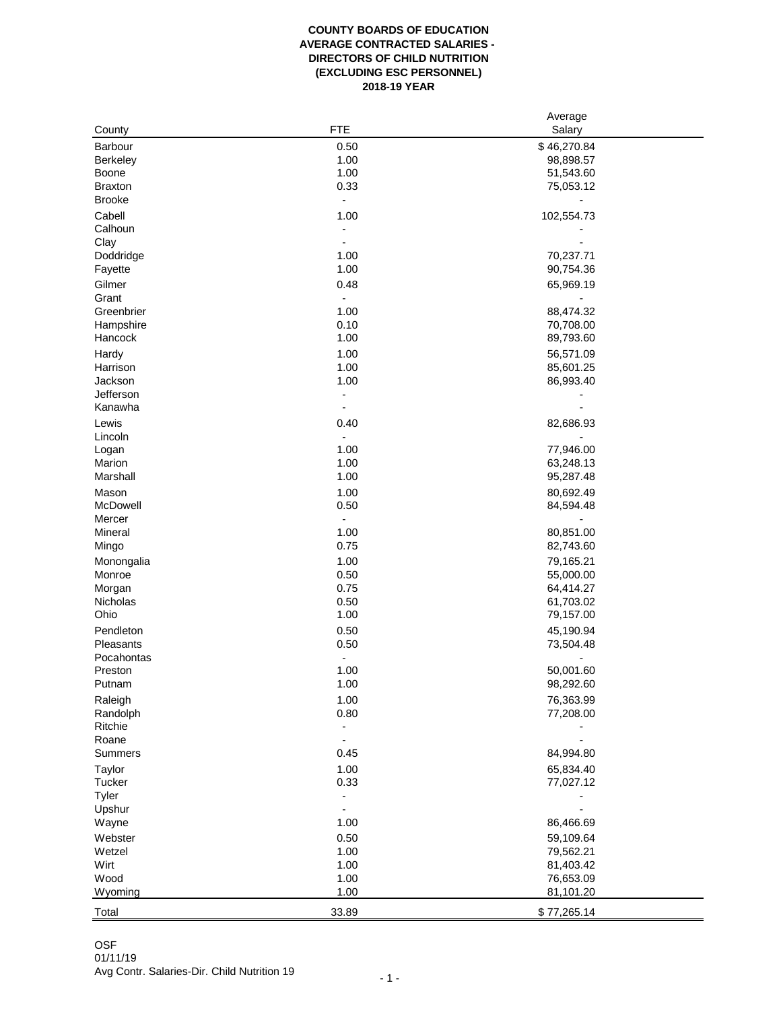## **COUNTY BOARDS OF EDUCATION AVERAGE CONTRACTED SALARIES - DIRECTORS OF CHILD NUTRITION (EXCLUDING ESC PERSONNEL) 2018-19 YEAR**

|                 |                | Average     |  |
|-----------------|----------------|-------------|--|
| County          | <b>FTE</b>     | Salary      |  |
| Barbour         | 0.50           | \$46,270.84 |  |
| <b>Berkeley</b> | 1.00           | 98,898.57   |  |
| Boone           | 1.00           | 51,543.60   |  |
| <b>Braxton</b>  | 0.33           | 75,053.12   |  |
| <b>Brooke</b>   | $\overline{a}$ |             |  |
| Cabell          | 1.00           | 102,554.73  |  |
| Calhoun         | $\overline{a}$ |             |  |
| Clay            |                |             |  |
| Doddridge       | 1.00           | 70,237.71   |  |
| Fayette         | 1.00           | 90,754.36   |  |
| Gilmer          | 0.48           | 65,969.19   |  |
| Grant           |                |             |  |
| Greenbrier      | 1.00           | 88,474.32   |  |
| Hampshire       | 0.10           | 70,708.00   |  |
| Hancock         | 1.00           | 89,793.60   |  |
| Hardy           | 1.00           | 56,571.09   |  |
| Harrison        | 1.00           | 85,601.25   |  |
| Jackson         | 1.00           | 86,993.40   |  |
| Jefferson       | $\blacksquare$ |             |  |
| Kanawha         | ۰              |             |  |
|                 |                |             |  |
| Lewis           | 0.40           | 82,686.93   |  |
| Lincoln         |                |             |  |
| Logan           | 1.00           | 77,946.00   |  |
| Marion          | 1.00           | 63,248.13   |  |
| Marshall        | 1.00           | 95,287.48   |  |
| Mason           | 1.00           | 80,692.49   |  |
| McDowell        | 0.50           | 84,594.48   |  |
| Mercer          |                |             |  |
| Mineral         | 1.00           | 80,851.00   |  |
| Mingo           | 0.75           | 82,743.60   |  |
| Monongalia      | 1.00           | 79,165.21   |  |
| Monroe          | 0.50           | 55,000.00   |  |
| Morgan          | 0.75           | 64,414.27   |  |
| Nicholas        | 0.50           | 61,703.02   |  |
| Ohio            | 1.00           | 79,157.00   |  |
| Pendleton       | 0.50           | 45,190.94   |  |
| Pleasants       | 0.50           | 73,504.48   |  |
| Pocahontas      | Ĭ.             |             |  |
| Preston         | 1.00           | 50,001.60   |  |
| Putnam          | 1.00           | 98,292.60   |  |
| Raleigh         | 1.00           | 76,363.99   |  |
| Randolph        | 0.80           | 77,208.00   |  |
| Ritchie         | $\overline{a}$ |             |  |
| Roane           | $\overline{a}$ |             |  |
| Summers         | 0.45           | 84,994.80   |  |
| Taylor          | 1.00           | 65,834.40   |  |
| Tucker          | 0.33           | 77,027.12   |  |
| Tyler           |                |             |  |
| Upshur          |                |             |  |
| Wayne           | 1.00           | 86,466.69   |  |
| Webster         | 0.50           | 59,109.64   |  |
|                 | 1.00           |             |  |
| Wetzel          |                | 79,562.21   |  |
| Wirt            | 1.00           | 81,403.42   |  |
| Wood            | 1.00           | 76,653.09   |  |
| Wyoming         | 1.00           | 81,101.20   |  |
| Total           | 33.89          | \$77,265.14 |  |